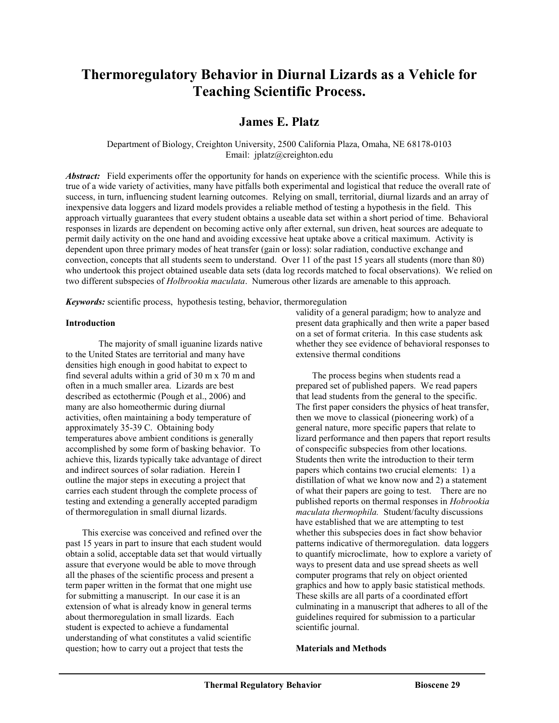# **Thermoregulatory Behavior in Diurnal Lizards as a Vehicle for Teaching Scientific Process.**

# **James E. Platz**

Department of Biology, Creighton University, 2500 California Plaza, Omaha, NE 68178-0103 Email: jplatz@creighton.edu

Abstract: Field experiments offer the opportunity for hands on experience with the scientific process. While this is true of a wide variety of activities, many have pitfalls both experimental and logistical that reduce the overall rate of success, in turn, influencing student learning outcomes. Relying on small, territorial, diurnal lizards and an array of inexpensive data loggers and lizard models provides a reliable method of testing a hypothesis in the field. This approach virtually guarantees that every student obtains a useable data set within a short period of time. Behavioral responses in lizards are dependent on becoming active only after external, sun driven, heat sources are adequate to permit daily activity on the one hand and avoiding excessive heat uptake above a critical maximum. Activity is dependent upon three primary modes of heat transfer (gain or loss): solar radiation, conductive exchange and convection, concepts that all students seem to understand. Over 11 of the past 15 years all students (more than 80) who undertook this project obtained useable data sets (data log records matched to focal observations). We relied on two different subspecies of *Holbrookia maculata*. Numerous other lizards are amenable to this approach.

*Keywords:* scientific process, hypothesis testing, behavior, thermoregulation

# **Introduction**

 The majority of small iguanine lizards native to the United States are territorial and many have densities high enough in good habitat to expect to find several adults within a grid of 30 m x 70 m and often in a much smaller area. Lizards are best described as ectothermic (Pough et al., 2006) and many are also homeothermic during diurnal activities, often maintaining a body temperature of approximately 35-39 C. Obtaining body temperatures above ambient conditions is generally accomplished by some form of basking behavior. To achieve this, lizards typically take advantage of direct and indirect sources of solar radiation. Herein I outline the major steps in executing a project that carries each student through the complete process of testing and extending a generally accepted paradigm of thermoregulation in small diurnal lizards.

This exercise was conceived and refined over the past 15 years in part to insure that each student would obtain a solid, acceptable data set that would virtually assure that everyone would be able to move through all the phases of the scientific process and present a term paper written in the format that one might use for submitting a manuscript. In our case it is an extension of what is already know in general terms about thermoregulation in small lizards. Each student is expected to achieve a fundamental understanding of what constitutes a valid scientific question; how to carry out a project that tests the

validity of a general paradigm; how to analyze and present data graphically and then write a paper based on a set of format criteria. In this case students ask whether they see evidence of behavioral responses to extensive thermal conditions

The process begins when students read a prepared set of published papers. We read papers that lead students from the general to the specific. The first paper considers the physics of heat transfer, then we move to classical (pioneering work) of a general nature, more specific papers that relate to lizard performance and then papers that report results of conspecific subspecies from other locations. Students then write the introduction to their term papers which contains two crucial elements: 1) a distillation of what we know now and 2) a statement of what their papers are going to test. There are no published reports on thermal responses in *Hobrookia maculata thermophila.* Student/faculty discussions have established that we are attempting to test whether this subspecies does in fact show behavior patterns indicative of thermoregulation. data loggers to quantify microclimate, how to explore a variety of ways to present data and use spread sheets as well computer programs that rely on object oriented graphics and how to apply basic statistical methods. These skills are all parts of a coordinated effort culminating in a manuscript that adheres to all of the guidelines required for submission to a particular scientific journal.

# **Materials and Methods**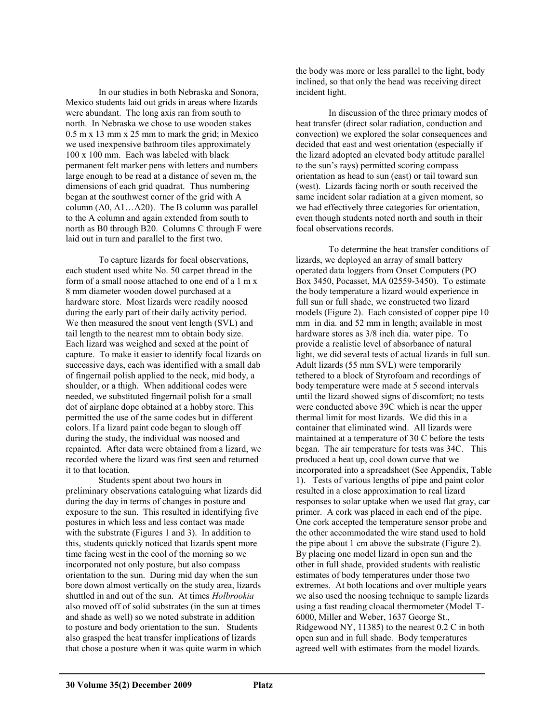In our studies in both Nebraska and Sonora, Mexico students laid out grids in areas where lizards were abundant. The long axis ran from south to north. In Nebraska we chose to use wooden stakes 0.5 m x 13 mm x 25 mm to mark the grid; in Mexico we used inexpensive bathroom tiles approximately 100 x 100 mm. Each was labeled with black permanent felt marker pens with letters and numbers large enough to be read at a distance of seven m, the dimensions of each grid quadrat. Thus numbering began at the southwest corner of the grid with A column (A0, A1…A20). The B column was parallel to the A column and again extended from south to north as B0 through B20. Columns C through F were laid out in turn and parallel to the first two.

To capture lizards for focal observations, each student used white No. 50 carpet thread in the form of a small noose attached to one end of a 1 m x 8 mm diameter wooden dowel purchased at a hardware store. Most lizards were readily noosed during the early part of their daily activity period. We then measured the snout vent length (SVL) and tail length to the nearest mm to obtain body size. Each lizard was weighed and sexed at the point of capture. To make it easier to identify focal lizards on successive days, each was identified with a small dab of fingernail polish applied to the neck, mid body, a shoulder, or a thigh. When additional codes were needed, we substituted fingernail polish for a small dot of airplane dope obtained at a hobby store. This permitted the use of the same codes but in different colors. If a lizard paint code began to slough off during the study, the individual was noosed and repainted. After data were obtained from a lizard, we recorded where the lizard was first seen and returned it to that location.

Students spent about two hours in preliminary observations cataloguing what lizards did during the day in terms of changes in posture and exposure to the sun. This resulted in identifying five postures in which less and less contact was made with the substrate (Figures 1 and 3). In addition to this, students quickly noticed that lizards spent more time facing west in the cool of the morning so we incorporated not only posture, but also compass orientation to the sun. During mid day when the sun bore down almost vertically on the study area, lizards shuttled in and out of the sun. At times *Holbrookia* also moved off of solid substrates (in the sun at times and shade as well) so we noted substrate in addition to posture and body orientation to the sun. Students also grasped the heat transfer implications of lizards that chose a posture when it was quite warm in which

the body was more or less parallel to the light, body inclined, so that only the head was receiving direct incident light.

In discussion of the three primary modes of heat transfer (direct solar radiation, conduction and convection) we explored the solar consequences and decided that east and west orientation (especially if the lizard adopted an elevated body attitude parallel to the sun's rays) permitted scoring compass orientation as head to sun (east) or tail toward sun (west). Lizards facing north or south received the same incident solar radiation at a given moment, so we had effectively three categories for orientation, even though students noted north and south in their focal observations records.

To determine the heat transfer conditions of lizards, we deployed an array of small battery operated data loggers from Onset Computers (PO Box 3450, Pocasset, MA 02559-3450). To estimate the body temperature a lizard would experience in full sun or full shade, we constructed two lizard models (Figure 2). Each consisted of copper pipe 10 mm in dia. and 52 mm in length; available in most hardware stores as 3/8 inch dia. water pipe. To provide a realistic level of absorbance of natural light, we did several tests of actual lizards in full sun. Adult lizards (55 mm SVL) were temporarily tethered to a block of Styrofoam and recordings of body temperature were made at 5 second intervals until the lizard showed signs of discomfort; no tests were conducted above 39C which is near the upper thermal limit for most lizards. We did this in a container that eliminated wind. All lizards were maintained at a temperature of 30 C before the tests began. The air temperature for tests was 34C. This produced a heat up, cool down curve that we incorporated into a spreadsheet (See Appendix, Table 1). Tests of various lengths of pipe and paint color resulted in a close approximation to real lizard responses to solar uptake when we used flat gray, car primer. A cork was placed in each end of the pipe. One cork accepted the temperature sensor probe and the other accommodated the wire stand used to hold the pipe about 1 cm above the substrate (Figure 2). By placing one model lizard in open sun and the other in full shade, provided students with realistic estimates of body temperatures under those two extremes. At both locations and over multiple years we also used the noosing technique to sample lizards using a fast reading cloacal thermometer (Model T-6000, Miller and Weber, 1637 George St., Ridgewood NY, 11385) to the nearest 0.2 C in both open sun and in full shade. Body temperatures agreed well with estimates from the model lizards.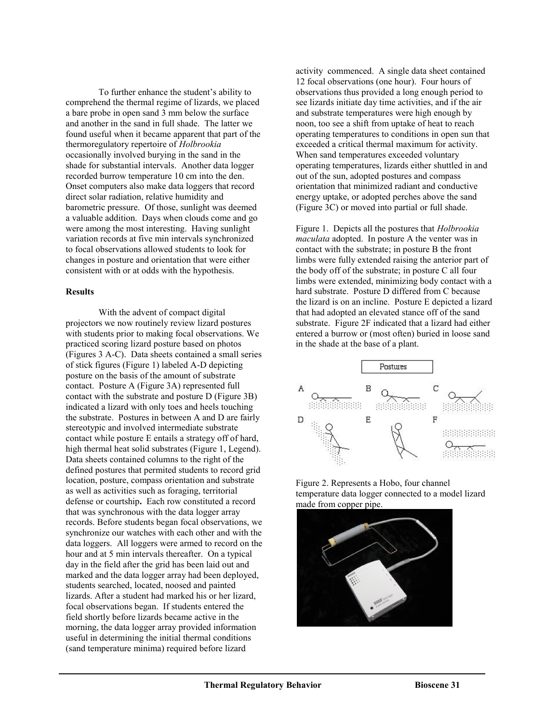To further enhance the student's ability to comprehend the thermal regime of lizards, we placed a bare probe in open sand 3 mm below the surface and another in the sand in full shade. The latter we found useful when it became apparent that part of the thermoregulatory repertoire of *Holbrookia* occasionally involved burying in the sand in the shade for substantial intervals. Another data logger recorded burrow temperature 10 cm into the den. Onset computers also make data loggers that record direct solar radiation, relative humidity and barometric pressure. Of those, sunlight was deemed a valuable addition. Days when clouds come and go were among the most interesting. Having sunlight variation records at five min intervals synchronized to focal observations allowed students to look for changes in posture and orientation that were either consistent with or at odds with the hypothesis.

# **Results**

With the advent of compact digital projectors we now routinely review lizard postures with students prior to making focal observations. We practiced scoring lizard posture based on photos (Figures 3 A-C). Data sheets contained a small series of stick figures (Figure 1) labeled A-D depicting posture on the basis of the amount of substrate contact. Posture A (Figure 3A) represented full contact with the substrate and posture D (Figure 3B) indicated a lizard with only toes and heels touching the substrate. Postures in between A and D are fairly stereotypic and involved intermediate substrate contact while posture E entails a strategy off of hard, high thermal heat solid substrates (Figure 1, Legend). Data sheets contained columns to the right of the defined postures that permited students to record grid location, posture, compass orientation and substrate as well as activities such as foraging, territorial defense or courtship**.** Each row constituted a record that was synchronous with the data logger array records. Before students began focal observations, we synchronize our watches with each other and with the data loggers. All loggers were armed to record on the hour and at 5 min intervals thereafter. On a typical day in the field after the grid has been laid out and marked and the data logger array had been deployed, students searched, located, noosed and painted lizards. After a student had marked his or her lizard, focal observations began. If students entered the field shortly before lizards became active in the morning, the data logger array provided information useful in determining the initial thermal conditions (sand temperature minima) required before lizard

activity commenced. A single data sheet contained 12 focal observations (one hour). Four hours of observations thus provided a long enough period to see lizards initiate day time activities, and if the air and substrate temperatures were high enough by noon, too see a shift from uptake of heat to reach operating temperatures to conditions in open sun that exceeded a critical thermal maximum for activity. When sand temperatures exceeded voluntary operating temperatures, lizards either shuttled in and out of the sun, adopted postures and compass orientation that minimized radiant and conductive energy uptake, or adopted perches above the sand (Figure 3C) or moved into partial or full shade.

Figure 1. Depicts all the postures that *Holbrookia maculata* adopted. In posture A the venter was in contact with the substrate; in posture B the front limbs were fully extended raising the anterior part of the body off of the substrate; in posture C all four limbs were extended, minimizing body contact with a hard substrate. Posture D differed from C because the lizard is on an incline. Posture E depicted a lizard that had adopted an elevated stance off of the sand substrate. Figure 2F indicated that a lizard had either entered a burrow or (most often) buried in loose sand in the shade at the base of a plant.



Figure 2. Represents a Hobo, four channel temperature data logger connected to a model lizard made from copper pipe.

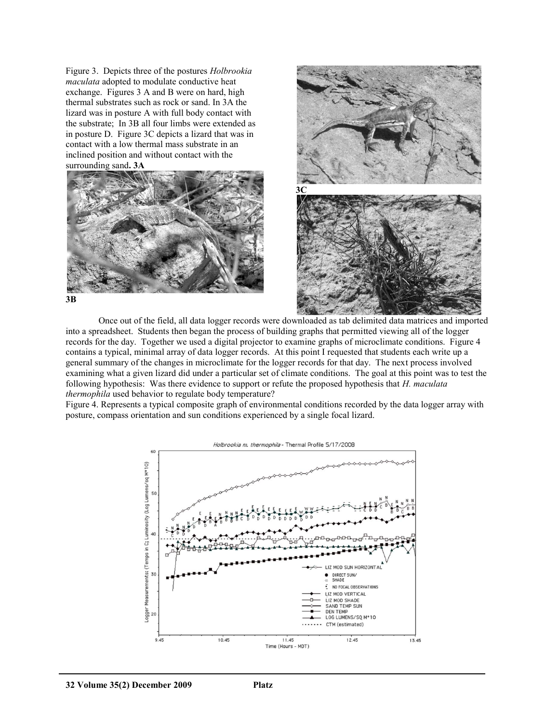Figure 3. Depicts three of the postures *Holbrookia maculata* adopted to modulate conductive heat exchange. Figures 3 A and B were on hard, high thermal substrates such as rock or sand. In 3A the lizard was in posture A with full body contact with the substrate; In 3B all four limbs were extended as in posture D. Figure 3C depicts a lizard that was in contact with a low thermal mass substrate in an inclined position and without contact with the surrounding sand**. 3A** 





Once out of the field, all data logger records were downloaded as tab delimited data matrices and imported into a spreadsheet. Students then began the process of building graphs that permitted viewing all of the logger records for the day. Together we used a digital projector to examine graphs of microclimate conditions. Figure 4 contains a typical, minimal array of data logger records. At this point I requested that students each write up a general summary of the changes in microclimate for the logger records for that day. The next process involved examining what a given lizard did under a particular set of climate conditions. The goal at this point was to test the following hypothesis: Was there evidence to support or refute the proposed hypothesis that *H. maculata thermophila* used behavior to regulate body temperature?

Figure 4. Represents a typical composite graph of environmental conditions recorded by the data logger array with posture, compass orientation and sun conditions experienced by a single focal lizard.

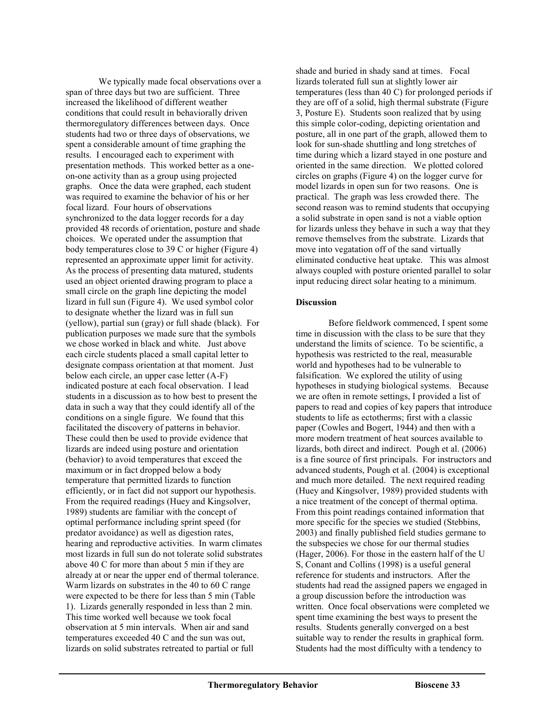We typically made focal observations over a span of three days but two are sufficient. Three increased the likelihood of different weather conditions that could result in behaviorally driven thermoregulatory differences between days. Once students had two or three days of observations, we spent a considerable amount of time graphing the results. I encouraged each to experiment with presentation methods. This worked better as a oneon-one activity than as a group using projected graphs. Once the data were graphed, each student was required to examine the behavior of his or her focal lizard. Four hours of observations synchronized to the data logger records for a day provided 48 records of orientation, posture and shade choices. We operated under the assumption that body temperatures close to 39 C or higher (Figure 4) represented an approximate upper limit for activity. As the process of presenting data matured, students used an object oriented drawing program to place a small circle on the graph line depicting the model lizard in full sun (Figure 4). We used symbol color to designate whether the lizard was in full sun (yellow), partial sun (gray) or full shade (black). For publication purposes we made sure that the symbols we chose worked in black and white. Just above each circle students placed a small capital letter to designate compass orientation at that moment. Just below each circle, an upper case letter (A-F) indicated posture at each focal observation. I lead students in a discussion as to how best to present the data in such a way that they could identify all of the conditions on a single figure. We found that this facilitated the discovery of patterns in behavior. These could then be used to provide evidence that lizards are indeed using posture and orientation (behavior) to avoid temperatures that exceed the maximum or in fact dropped below a body temperature that permitted lizards to function efficiently, or in fact did not support our hypothesis. From the required readings (Huey and Kingsolver, 1989) students are familiar with the concept of optimal performance including sprint speed (for predator avoidance) as well as digestion rates, hearing and reproductive activities. In warm climates most lizards in full sun do not tolerate solid substrates above 40 C for more than about 5 min if they are already at or near the upper end of thermal tolerance. Warm lizards on substrates in the 40 to 60 C range were expected to be there for less than 5 min (Table 1). Lizards generally responded in less than 2 min. This time worked well because we took focal observation at 5 min intervals. When air and sand temperatures exceeded 40 C and the sun was out, lizards on solid substrates retreated to partial or full

shade and buried in shady sand at times. Focal lizards tolerated full sun at slightly lower air temperatures (less than 40 C) for prolonged periods if they are off of a solid, high thermal substrate (Figure 3, Posture E). Students soon realized that by using this simple color-coding, depicting orientation and posture, all in one part of the graph, allowed them to look for sun-shade shuttling and long stretches of time during which a lizard stayed in one posture and oriented in the same direction. We plotted colored circles on graphs (Figure 4) on the logger curve for model lizards in open sun for two reasons. One is practical. The graph was less crowded there. The second reason was to remind students that occupying a solid substrate in open sand is not a viable option for lizards unless they behave in such a way that they remove themselves from the substrate. Lizards that move into vegatation off of the sand virtually eliminated conductive heat uptake. This was almost always coupled with posture oriented parallel to solar input reducing direct solar heating to a minimum.

# **Discussion**

Before fieldwork commenced, I spent some time in discussion with the class to be sure that they understand the limits of science. To be scientific, a hypothesis was restricted to the real, measurable world and hypotheses had to be vulnerable to falsification. We explored the utility of using hypotheses in studying biological systems. Because we are often in remote settings, I provided a list of papers to read and copies of key papers that introduce students to life as ectotherms; first with a classic paper (Cowles and Bogert, 1944) and then with a more modern treatment of heat sources available to lizards, both direct and indirect. Pough et al. (2006) is a fine source of first principals. For instructors and advanced students, Pough et al. (2004) is exceptional and much more detailed. The next required reading (Huey and Kingsolver, 1989) provided students with a nice treatment of the concept of thermal optima. From this point readings contained information that more specific for the species we studied (Stebbins, 2003) and finally published field studies germane to the subspecies we chose for our thermal studies (Hager, 2006). For those in the eastern half of the U S, Conant and Collins (1998) is a useful general reference for students and instructors. After the students had read the assigned papers we engaged in a group discussion before the introduction was written. Once focal observations were completed we spent time examining the best ways to present the results. Students generally converged on a best suitable way to render the results in graphical form. Students had the most difficulty with a tendency to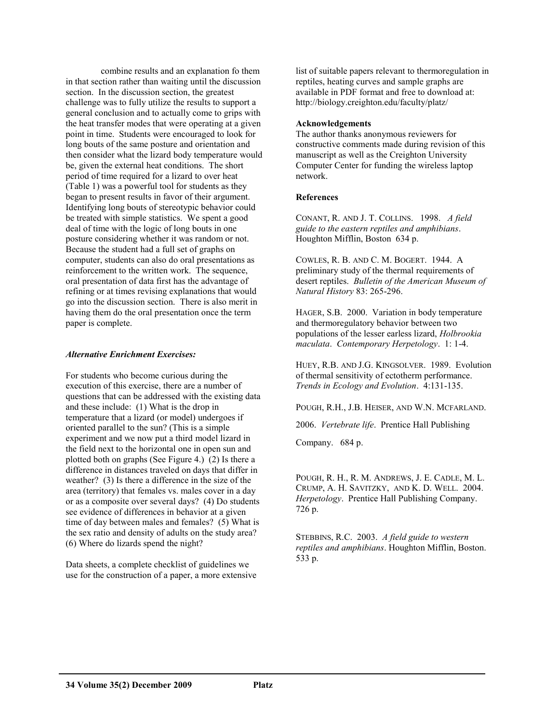combine results and an explanation fo them in that section rather than waiting until the discussion section. In the discussion section, the greatest challenge was to fully utilize the results to support a general conclusion and to actually come to grips with the heat transfer modes that were operating at a given point in time. Students were encouraged to look for long bouts of the same posture and orientation and then consider what the lizard body temperature would be, given the external heat conditions. The short period of time required for a lizard to over heat (Table 1) was a powerful tool for students as they began to present results in favor of their argument. Identifying long bouts of stereotypic behavior could be treated with simple statistics. We spent a good deal of time with the logic of long bouts in one posture considering whether it was random or not. Because the student had a full set of graphs on computer, students can also do oral presentations as reinforcement to the written work. The sequence, oral presentation of data first has the advantage of refining or at times revising explanations that would go into the discussion section. There is also merit in having them do the oral presentation once the term paper is complete.

# *Alternative Enrichment Exercises:*

For students who become curious during the execution of this exercise, there are a number of questions that can be addressed with the existing data and these include: (1) What is the drop in temperature that a lizard (or model) undergoes if oriented parallel to the sun? (This is a simple experiment and we now put a third model lizard in the field next to the horizontal one in open sun and plotted both on graphs (See Figure 4.) (2) Is there a difference in distances traveled on days that differ in weather? (3) Is there a difference in the size of the area (territory) that females vs. males cover in a day or as a composite over several days? (4) Do students see evidence of differences in behavior at a given time of day between males and females? (5) What is the sex ratio and density of adults on the study area? (6) Where do lizards spend the night?

Data sheets, a complete checklist of guidelines we use for the construction of a paper, a more extensive list of suitable papers relevant to thermoregulation in reptiles, heating curves and sample graphs are available in PDF format and free to download at: http://biology.creighton.edu/faculty/platz/

#### **Acknowledgements**

The author thanks anonymous reviewers for constructive comments made during revision of this manuscript as well as the Creighton University Computer Center for funding the wireless laptop network.

# **References**

CONANT, R. AND J. T. COLLINS. 1998. *A field guide to the eastern reptiles and amphibians*. Houghton Mifflin, Boston 634 p.

COWLES, R. B. AND C. M. BOGERT. 1944. A preliminary study of the thermal requirements of desert reptiles. *Bulletin of the American Museum of Natural History* 83: 265-296.

HAGER, S.B. 2000. Variation in body temperature and thermoregulatory behavior between two populations of the lesser earless lizard, *Holbrookia maculata*. *Contemporary Herpetology*. 1: 1-4.

HUEY, R.B. AND J.G. KINGSOLVER. 1989. Evolution of thermal sensitivity of ectotherm performance. *Trends in Ecology and Evolution*. 4:131-135.

POUGH, R.H., J.B. HEISER, AND W.N. MCFARLAND.

2006. *Vertebrate life*. Prentice Hall Publishing

Company. 684 p.

POUGH, R. H., R. M. ANDREWS, J. E. CADLE, M. L. CRUMP, A. H. SAVITZKY, AND K. D. WELL. 2004. *Herpetology*. Prentice Hall Publishing Company. 726 p.

STEBBINS, R.C. 2003. *A field guide to western reptiles and amphibians*. Houghton Mifflin, Boston. 533 p.